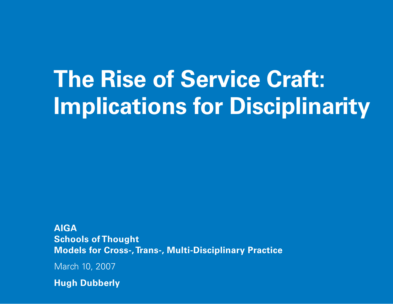# **The Rise of Service Craft: Implications for Disciplinarity**

**AIGA Schools of Thought Models for Cross-, Trans-, Multi-Disciplinary Practice**

March 10, 2007

**Hugh Dubberly**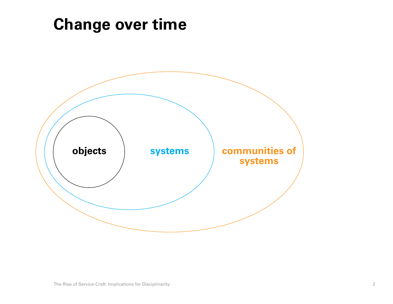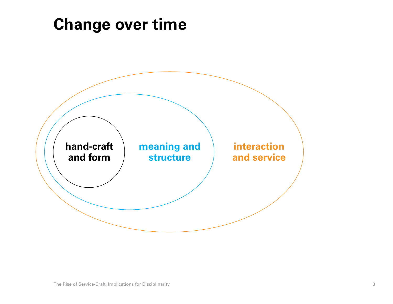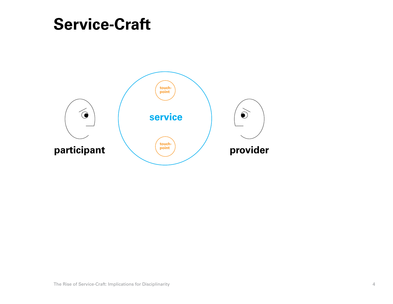#### **Service-Craft**

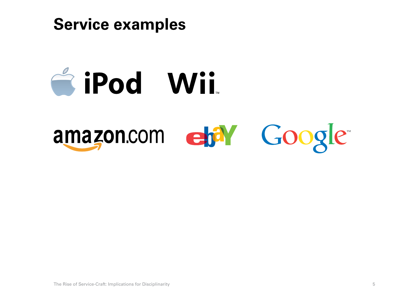

# & iPod Wii.

# amazon.com et<sup>a</sup>l Google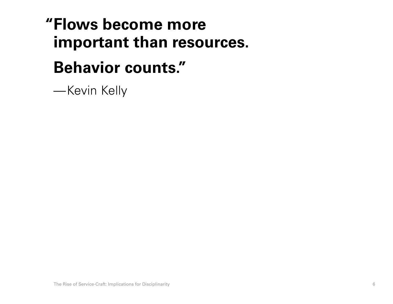# **Flows become more "important than resources.**

#### **Behavior counts."**

—Kevin Kelly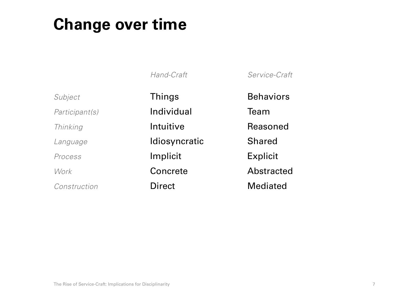*Hand-Craft*

*Subject Participant(s) Thinking Language Process*

*Work*

*Construction*

Things Individual Intuitive Idiosyncratic Implicit Concrete Direct

*Service-Craft* **Behaviors** 

Team

Reasoned

Shared

Explicit

Abstracted

Mediated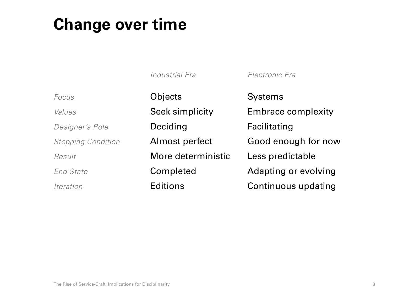|                           | Industrial Era     | Electronic Era              |
|---------------------------|--------------------|-----------------------------|
| Focus                     | Objects            | <b>Systems</b>              |
| Values                    | Seek simplicity    | <b>Embrace complexity</b>   |
| Designer's Role           | Deciding           | Facilitating                |
| <b>Stopping Condition</b> | Almost perfect     | Good enough for now         |
| Result                    | More deterministic | Less predictable            |
| End-State                 | Completed          | <b>Adapting or evolving</b> |
| Iteration                 | <b>Editions</b>    | <b>Continuous updating</b>  |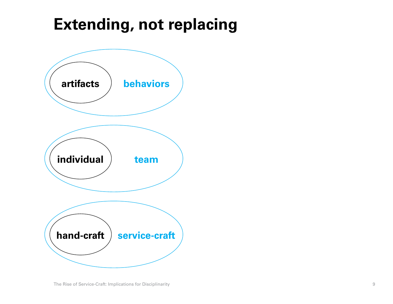# **Extending, not replacing**

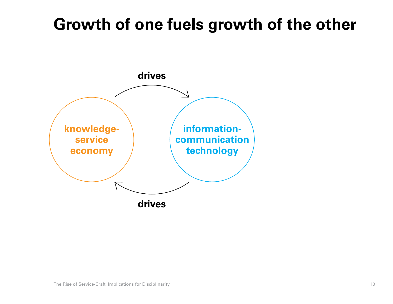# **Growth of one fuels growth of the other**

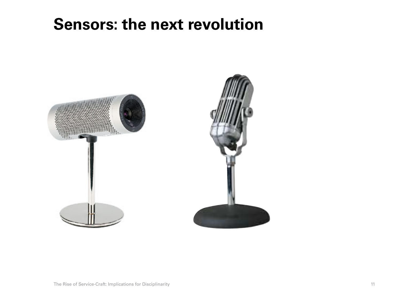#### **Sensors: the next revolution**

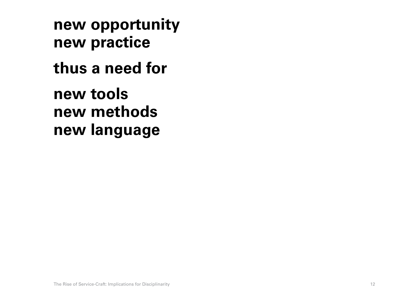**new opportunity new practice thus a need for new tools new methods new language**